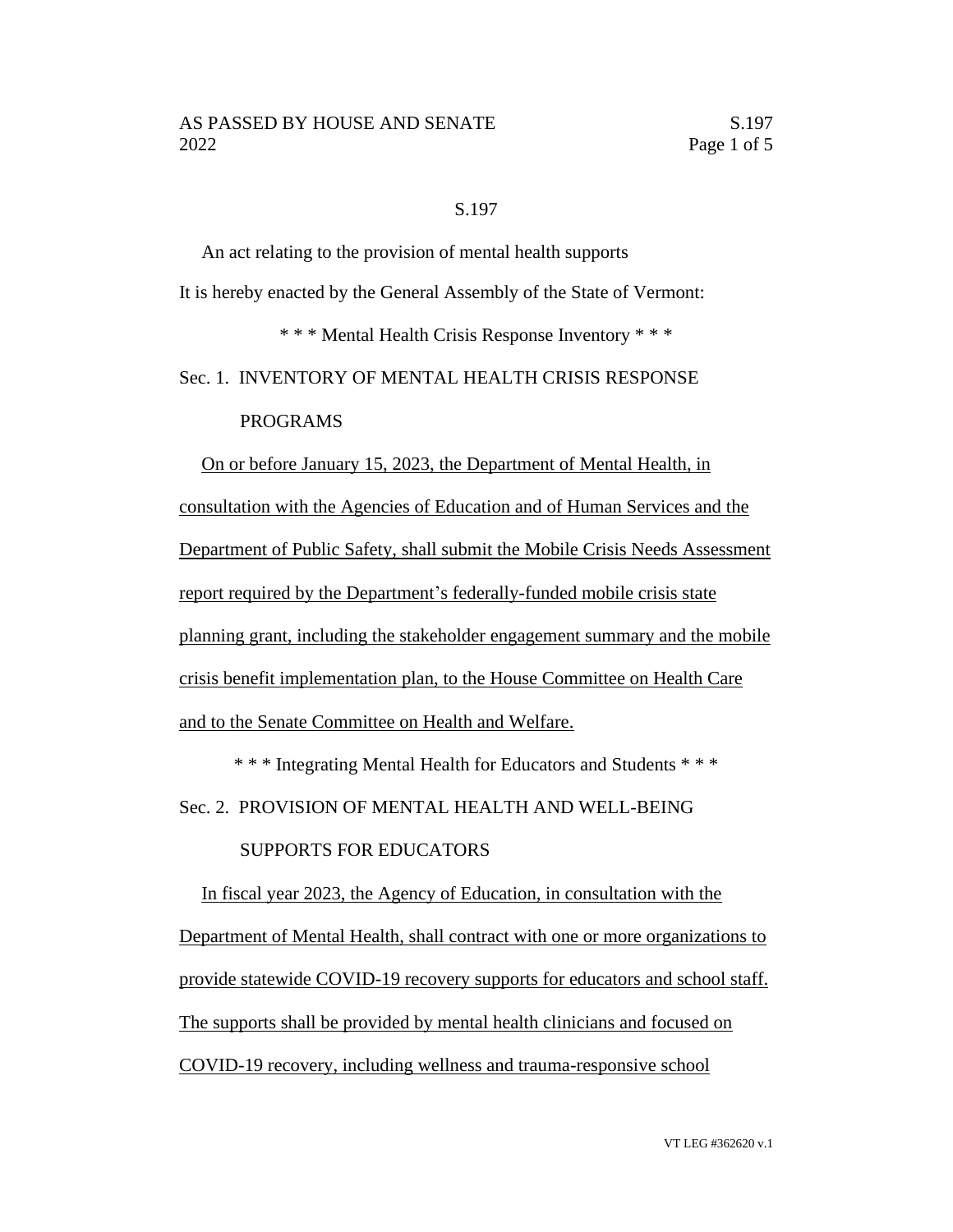#### S.197

An act relating to the provision of mental health supports It is hereby enacted by the General Assembly of the State of Vermont: \* \* \* Mental Health Crisis Response Inventory \* \* \* Sec. 1. INVENTORY OF MENTAL HEALTH CRISIS RESPONSE

### PROGRAMS

On or before January 15, 2023, the Department of Mental Health, in consultation with the Agencies of Education and of Human Services and the Department of Public Safety, shall submit the Mobile Crisis Needs Assessment report required by the Department's federally-funded mobile crisis state planning grant, including the stakeholder engagement summary and the mobile crisis benefit implementation plan, to the House Committee on Health Care and to the Senate Committee on Health and Welfare.

\* \* \* Integrating Mental Health for Educators and Students \* \* \* Sec. 2. PROVISION OF MENTAL HEALTH AND WELL-BEING

## SUPPORTS FOR EDUCATORS

In fiscal year 2023, the Agency of Education, in consultation with the Department of Mental Health, shall contract with one or more organizations to provide statewide COVID-19 recovery supports for educators and school staff. The supports shall be provided by mental health clinicians and focused on COVID-19 recovery, including wellness and trauma-responsive school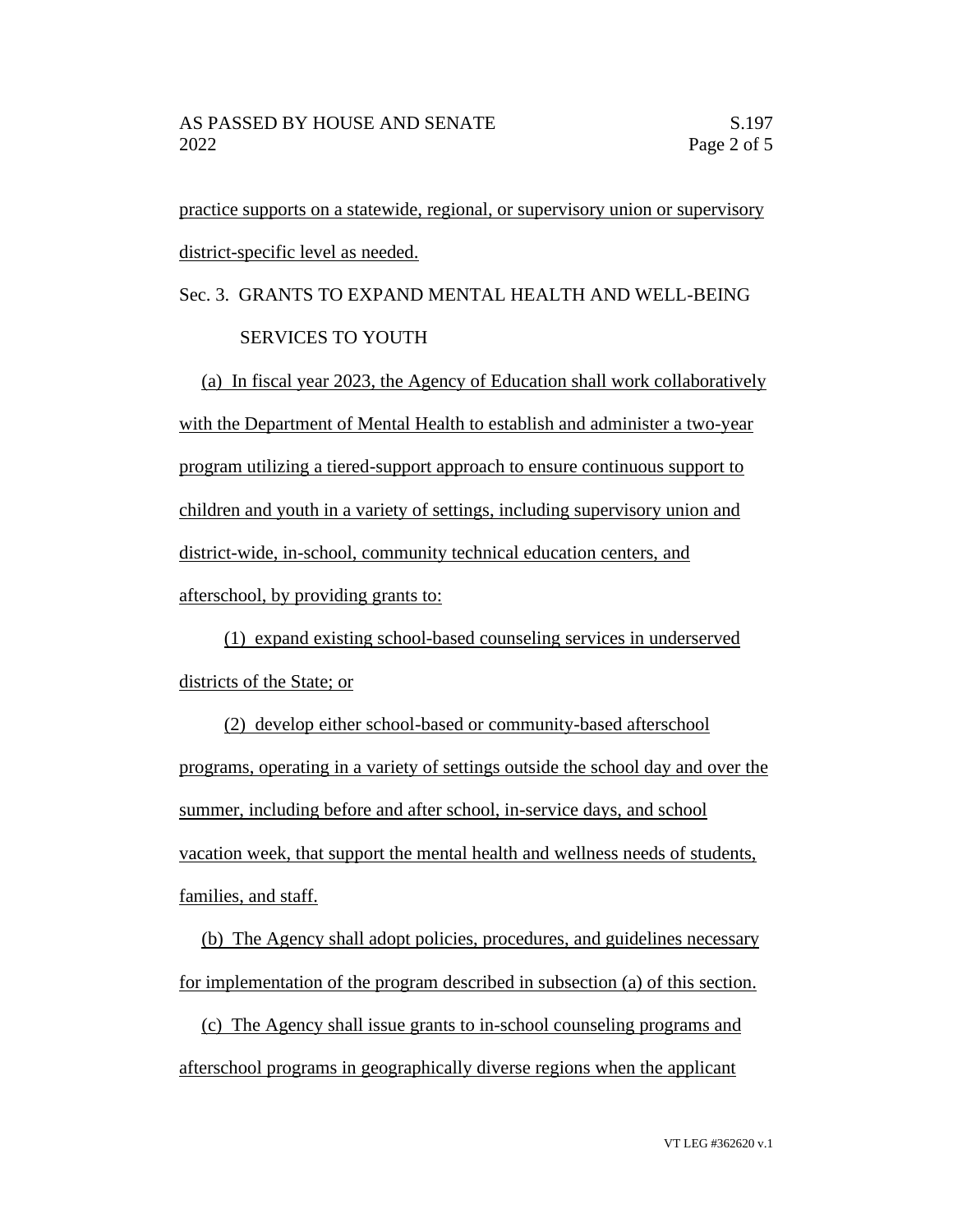practice supports on a statewide, regional, or supervisory union or supervisory district-specific level as needed.

# Sec. 3. GRANTS TO EXPAND MENTAL HEALTH AND WELL-BEING SERVICES TO YOUTH

(a) In fiscal year 2023, the Agency of Education shall work collaboratively with the Department of Mental Health to establish and administer a two-year program utilizing a tiered-support approach to ensure continuous support to children and youth in a variety of settings, including supervisory union and district-wide, in-school, community technical education centers, and afterschool, by providing grants to:

(1) expand existing school-based counseling services in underserved districts of the State; or

(2) develop either school-based or community-based afterschool programs, operating in a variety of settings outside the school day and over the summer, including before and after school, in-service days, and school vacation week, that support the mental health and wellness needs of students, families, and staff.

(b) The Agency shall adopt policies, procedures, and guidelines necessary for implementation of the program described in subsection (a) of this section.

(c) The Agency shall issue grants to in-school counseling programs and afterschool programs in geographically diverse regions when the applicant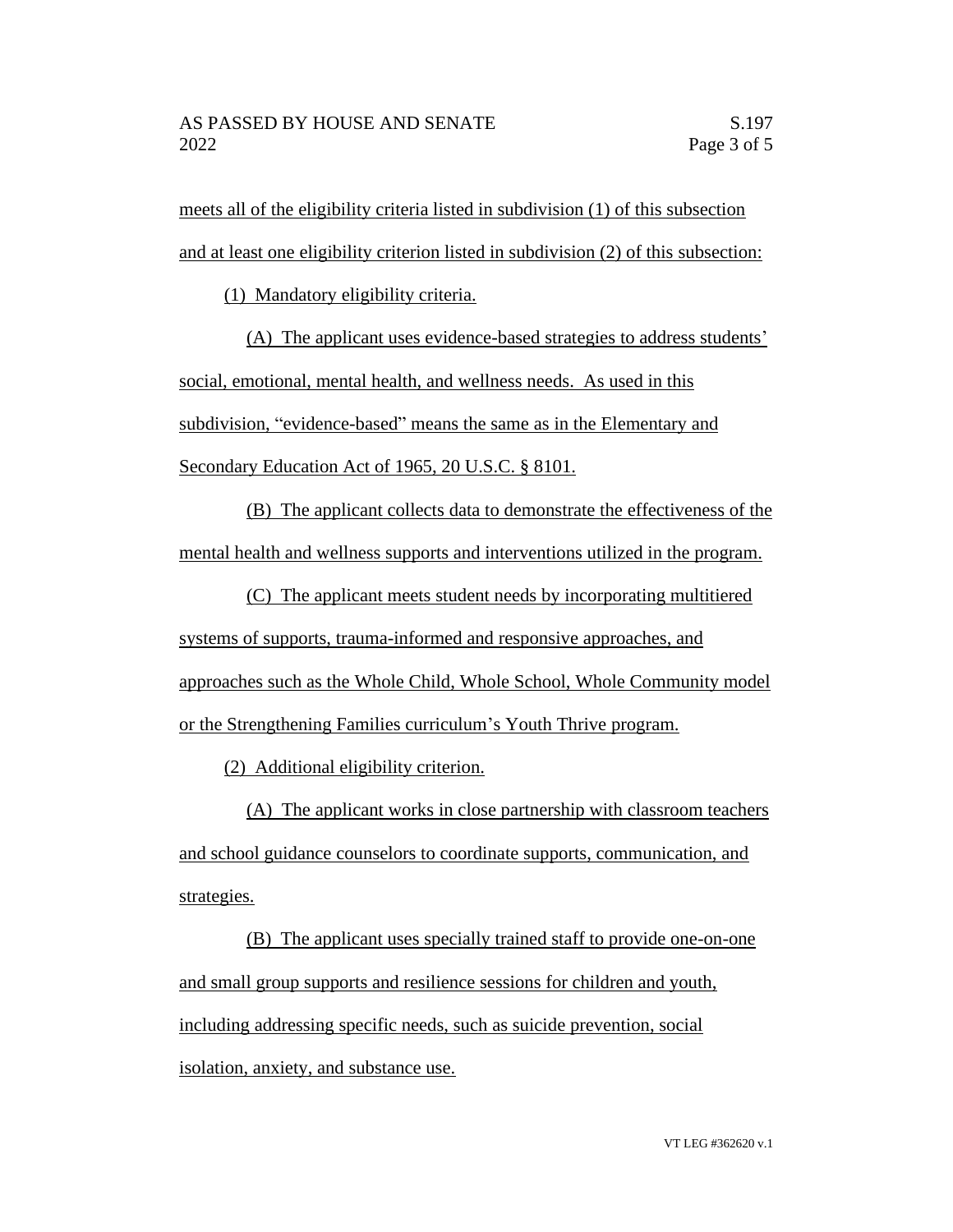meets all of the eligibility criteria listed in subdivision (1) of this subsection and at least one eligibility criterion listed in subdivision (2) of this subsection:

(1) Mandatory eligibility criteria.

(A) The applicant uses evidence-based strategies to address students' social, emotional, mental health, and wellness needs. As used in this subdivision, "evidence-based" means the same as in the Elementary and Secondary Education Act of 1965, 20 U.S.C. § 8101.

(B) The applicant collects data to demonstrate the effectiveness of the mental health and wellness supports and interventions utilized in the program.

(C) The applicant meets student needs by incorporating multitiered systems of supports, trauma-informed and responsive approaches, and approaches such as the Whole Child, Whole School, Whole Community model or the Strengthening Families curriculum's Youth Thrive program.

(2) Additional eligibility criterion.

(A) The applicant works in close partnership with classroom teachers and school guidance counselors to coordinate supports, communication, and strategies.

(B) The applicant uses specially trained staff to provide one-on-one and small group supports and resilience sessions for children and youth, including addressing specific needs, such as suicide prevention, social isolation, anxiety, and substance use.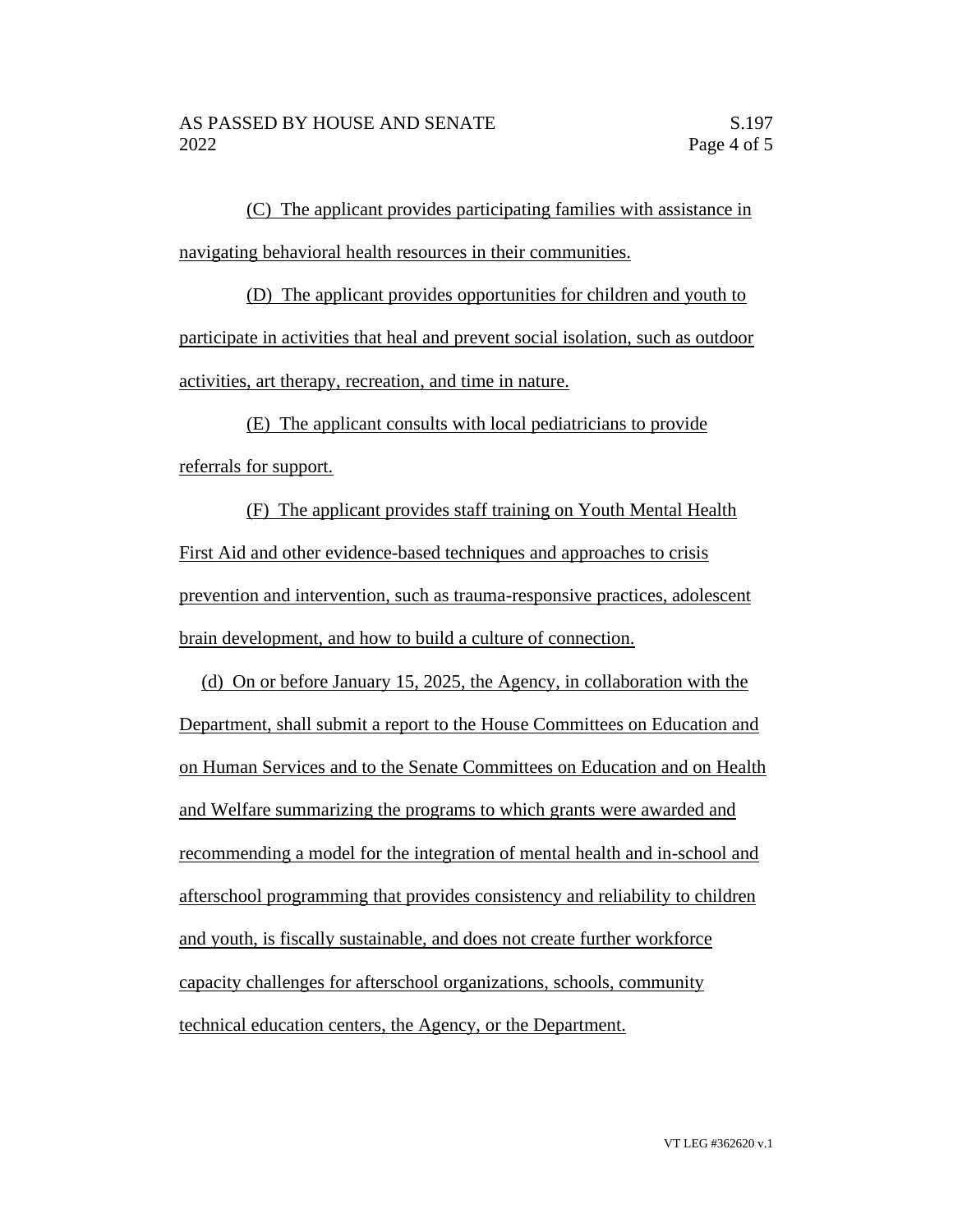(C) The applicant provides participating families with assistance in navigating behavioral health resources in their communities.

(D) The applicant provides opportunities for children and youth to participate in activities that heal and prevent social isolation, such as outdoor activities, art therapy, recreation, and time in nature.

(E) The applicant consults with local pediatricians to provide referrals for support.

(F) The applicant provides staff training on Youth Mental Health First Aid and other evidence-based techniques and approaches to crisis prevention and intervention, such as trauma-responsive practices, adolescent brain development, and how to build a culture of connection.

(d) On or before January 15, 2025, the Agency, in collaboration with the Department, shall submit a report to the House Committees on Education and on Human Services and to the Senate Committees on Education and on Health and Welfare summarizing the programs to which grants were awarded and recommending a model for the integration of mental health and in-school and afterschool programming that provides consistency and reliability to children and youth, is fiscally sustainable, and does not create further workforce capacity challenges for afterschool organizations, schools, community technical education centers, the Agency, or the Department.